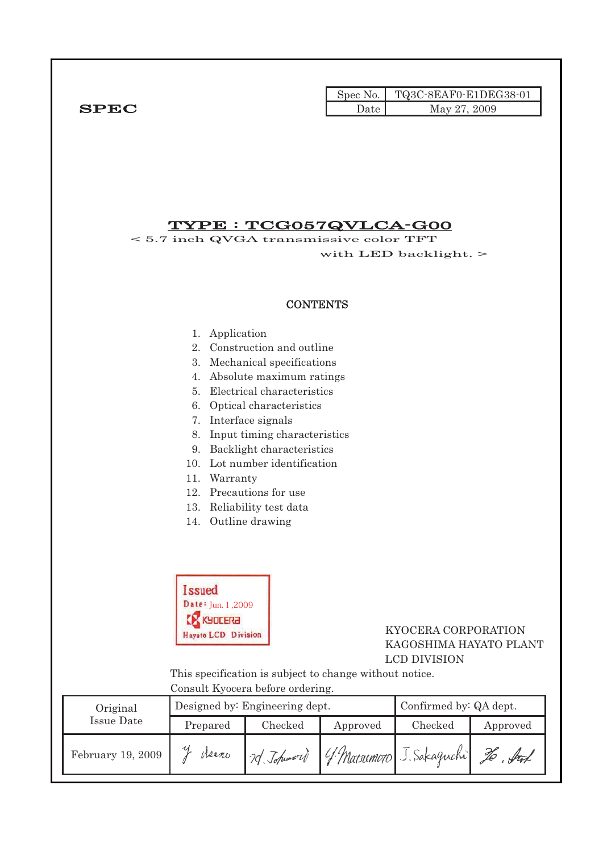|              |      | Spec No.   TQ3C-8EAF0-E1DEG38-01 |
|--------------|------|----------------------------------|
| ${\bf SPEC}$ | Date | May 27, 2009                     |

### TYPE : TCG057QVLCA-G00

< 5.7 inch QVGA transmissive color TFT with LED backlight. >

#### **CONTENTS**

- 1. Application
- 2. Construction and outline
- 3. Mechanical specifications
- 4. Absolute maximum ratings
- 5. Electrical characteristics
- 6. Optical characteristics
- 7. Interface signals
- 8. Input timing characteristics
- 9. Backlight characteristics
- 10. Lot number identification
- 11. Warranty
- 12. Precautions for use
- 13. Reliability test data
- 14. Outline drawing



#### Hayato LCD Division KYOCERA CORPORATION KAGOSHIMA HAYATO PLANT LCD DIVISION

 This specification is subject to change without notice. Consult Kyocera before ordering.

| Original          |          | Designed by: Engineering dept. | Confirmed by: QA dept. |                             |          |
|-------------------|----------|--------------------------------|------------------------|-----------------------------|----------|
| Issue Date        | Prepared | Checked                        | Approved               | Checked                     | Approved |
| February 19, 2009 | Meano    | 2d Johnwort                    |                        | 4 Matrimoto J. Sakaguchi Zo | . ful    |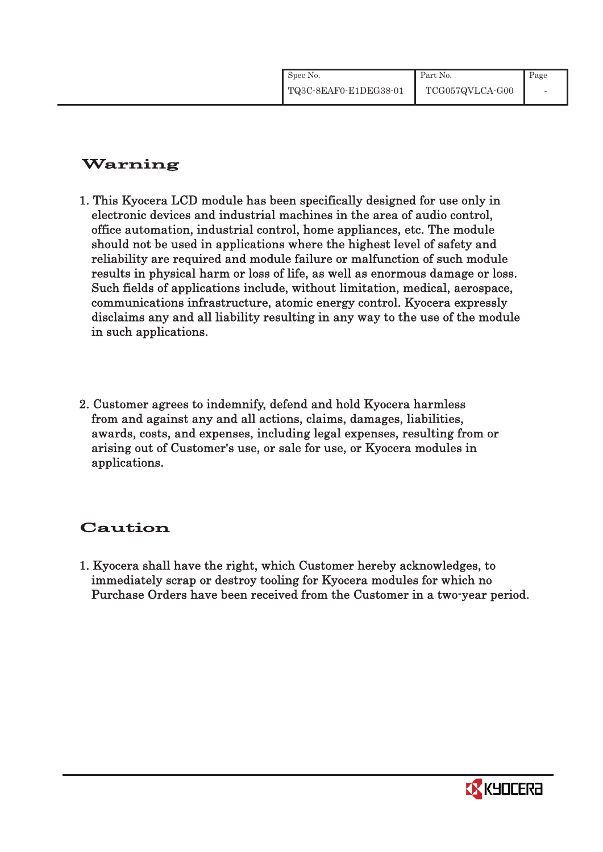| Spec No.              | Part No.        | Page |
|-----------------------|-----------------|------|
| TQ3C-8EAF0-E1DEG38-01 | TCG057QVLCA-G00 |      |

### Warning

- 1. This Kyocera LCD module has been specifically designed for use only in electronic devices and industrial machines in the area of audio control, office automation, industrial control, home appliances, etc. The module should not be used in applications where the highest level of safety and reliability are required and module failure or malfunction of such module results in physical harm or loss of life, as well as enormous damage or loss. Such fields of applications include, without limitation, medical, aerospace, communications infrastructure, atomic energy control. Kyocera expressly disclaims any and all liability resulting in any way to the use of the module in such applications.
- 2. Customer agrees to indemnify, defend and hold Kyocera harmless from and against any and all actions, claims, damages, liabilities, awards, costs, and expenses, including legal expenses, resulting from or arising out of Customer's use, or sale for use, or Kyocera modules in applications.

## Caution

1. Kyocera shall have the right, which Customer hereby acknowledges, to immediately scrap or destroy tooling for Kyocera modules for which no Purchase Orders have been received from the Customer in a two-year period.

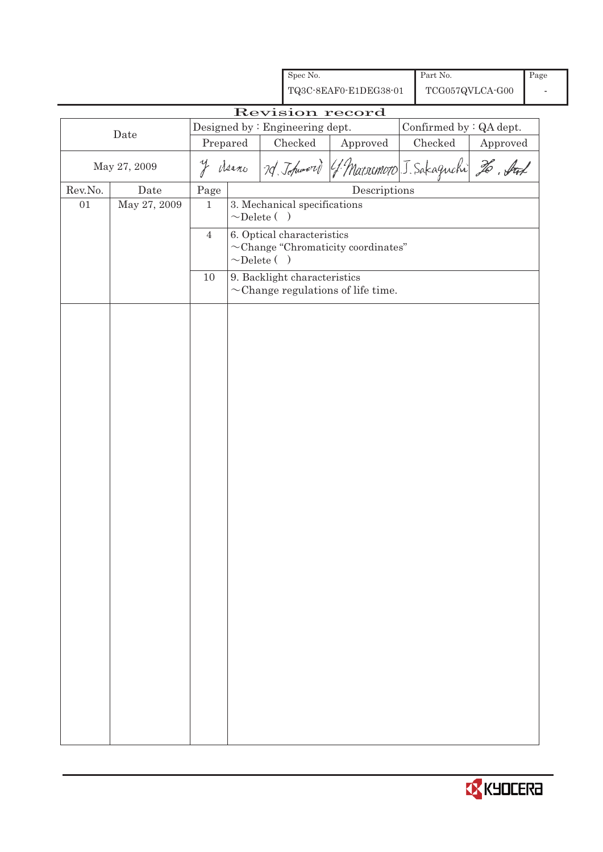|         |              |                |                   | Spec No.                       |                                                         | Part No.                |          | Page |
|---------|--------------|----------------|-------------------|--------------------------------|---------------------------------------------------------|-------------------------|----------|------|
|         |              |                |                   |                                | TQ3C-8EAF0-E1DEG38-01                                   | TCG057QVLCA-G00         |          |      |
|         |              |                |                   |                                | Revision record                                         |                         |          |      |
|         |              |                |                   | Designed by: Engineering dept. |                                                         | Confirmed by : QA dept. |          |      |
|         | Date         | Prepared       |                   | Checked                        | ${\Large\bf Approved}$                                  | Checked                 | Approved |      |
|         | May 27, 2009 |                |                   |                                | y derno 7d Johnnord (f. Matrimoto J. Sakaguchi 26. Stal |                         |          |      |
| Rev.No. | Date         | $\rm Page$     |                   |                                | Descriptions                                            |                         |          |      |
| 01      | May 27, 2009 | $\mathbf{1}$   | $\sim$ Delete ( ) | 3. Mechanical specifications   |                                                         |                         |          |      |
|         |              | $\overline{4}$ | $\sim$ Delete ( ) | 6. Optical characteristics     | $\sim$ Change "Chromaticity coordinates"                |                         |          |      |
|         |              | 10             |                   | 9. Backlight characteristics   | $\sim$ Change regulations of life time.                 |                         |          |      |
|         |              |                |                   |                                |                                                         |                         |          |      |

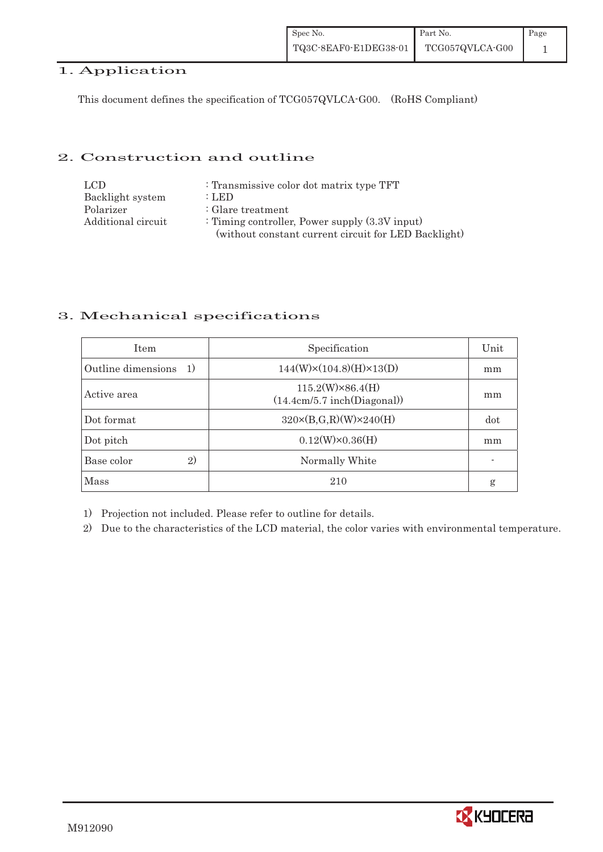### 1. Application

This document defines the specification of TCG057QVLCA-G00. (RoHS Compliant)

#### 2. Construction and outline

| LCD.               | : Transmissive color dot matrix type TFT             |
|--------------------|------------------------------------------------------|
| Backlight system   | $:$ LED                                              |
| Polarizer          | : Glare treatment                                    |
| Additional circuit | : Timing controller, Power supply $(3.3V)$ input)    |
|                    | (without constant current circuit for LED Backlight) |

#### 3. Mechanical specifications

| <b>Item</b>                  | Specification                                          | Unit |
|------------------------------|--------------------------------------------------------|------|
| Outline dimensions<br>-1)    | $144(W)\times(104.8)(H)\times13(D)$                    | mm   |
| Active area                  | $115.2(W)\times86.4(H)$<br>(14.4cm/5.7 inch(Diagonal)) | mm   |
| Dot format                   | $320 \times (B,G,R)(W) \times 240(H)$                  | dot  |
| Dot pitch                    | $0.12(W)\times0.36(H)$                                 | mm   |
| Base color<br>$\mathfrak{D}$ | Normally White                                         |      |
| Mass                         | 210                                                    | g    |

1) Projection not included. Please refer to outline for details.

2) Due to the characteristics of the LCD material, the color varies with environmental temperature.

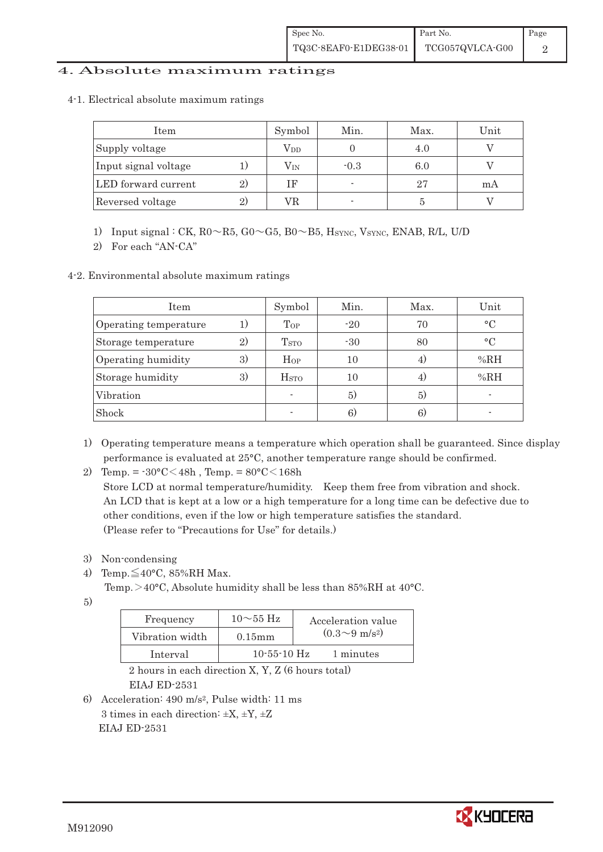#### 4. Absolute maximum ratings

4-1.Electrical absolute maximum ratings

| Item                 |    | Symbol       | Min.   | Max. | Unit |
|----------------------|----|--------------|--------|------|------|
| Supply voltage       |    | $\rm V_{DD}$ |        | 4.0  |      |
| Input signal voltage |    | $\rm V_{IN}$ | $-0.3$ | 6.0  |      |
| LED forward current  | 2) | <b>IF</b>    |        | 27   | mA   |
| Reversed voltage     | 2) | VR           |        |      |      |

1) Input signal : CK,  $R0 \sim R5$ ,  $G0 \sim G5$ ,  $B0 \sim B5$ ,  $H_{\text{SYNC}}$ , Vsync, ENAB, R/L, U/D

2) For each "AN-CA"

4-2. Environmental absolute maximum ratings

| Item                  |    | Symbol                   | Min.  | Max.           | Unit      |
|-----------------------|----|--------------------------|-------|----------------|-----------|
| Operating temperature |    | Top                      | $-20$ | 70             | $\circ$ C |
| Storage temperature   | 2) | T <sub>STO</sub>         | $-30$ | 80             | $\circ$ C |
| Operating humidity    | 3) | $\rm{HoP}$               | 10    | $\overline{4}$ | %RH       |
| Storage humidity      | 3) | H <sub>STO</sub>         | 10    | 4,             | %RH       |
| Vibration             |    | $\overline{\phantom{a}}$ | 5)    | 5)             |           |
| Shock                 |    |                          | 6)    | 6)             |           |

- 1) Operating temperature means a temperature which operation shall be guaranteed. Since display performance is evaluated at 25°C, another temperature range should be confirmed.
- 2) Temp. =  $-30^{\circ}$ C $<$ 48h, Temp. =  $80^{\circ}$ C $<$ 168h

 Store LCD at normal temperature/humidity. Keep them free from vibration and shock. An LCD that is kept at a low or a high temperature for a long time can be defective due to other conditions, even if the low or high temperature satisfies the standard. (Please refer to "Precautions for Use" for details.)

- 3) Non-condensing
- 4) Temp. $\leq$ 40°C, 85%RH Max.
	- Temp.  $>$  40°C, Absolute humidity shall be less than 85%RH at 40°C.
- 5)

| Frequency       | $10\sim55$ Hz | Acceleration value         |
|-----------------|---------------|----------------------------|
| Vibration width | $0.15$ mm     | $(0.3{\sim}9~{\rm m/s^2})$ |
| Interval        | $10-55-10$ Hz | 1 minutes                  |

 2 hours in each direction X, Y, Z (6 hours total) EIAJ ED-2531

6) Acceleration: 490 m/s2, Pulse width: 11 ms 3 times in each direction:  $\pm X$ ,  $\pm Y$ ,  $\pm Z$ EIAJ ED-2531

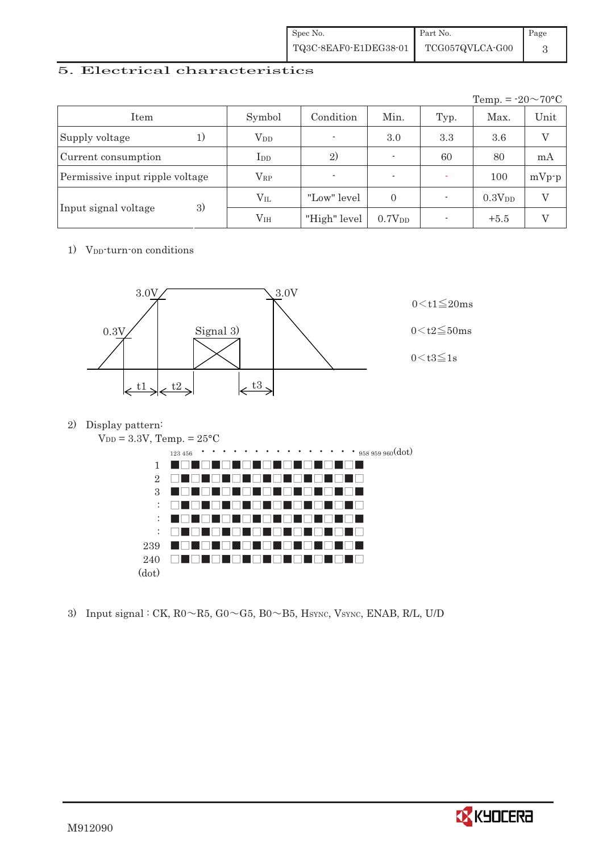| Spec No.              | Part No.        | Page |
|-----------------------|-----------------|------|
| TQ3C-8EAF0-E1DEG38-01 | TCG057QVLCA-G00 |      |

### 5. Electrical characteristics

|                                 |                        |                          |                          |      | Temp. = $-20 \sim 70$ °C |               |
|---------------------------------|------------------------|--------------------------|--------------------------|------|--------------------------|---------------|
| Item                            | Symbol                 | Condition                | Min.                     | Typ. | Max.                     | Unit          |
| Supply voltage<br>1)            | <b>V</b> <sub>DD</sub> | $\overline{\phantom{a}}$ | 3.0                      | 3.3  | 3.6                      | $\mathcal{I}$ |
| Current consumption             | $_{\rm{LDD}}$          | 2)                       | $\overline{\phantom{a}}$ | 60   | 80                       | mA            |
| Permissive input ripple voltage | $\rm V_{RP}$           | ٠                        | $\overline{\phantom{a}}$ |      | 100                      | $mVp-p$       |
|                                 | $\rm V_{II}$           | "Low" level              | $\Omega$                 |      | $0.3V_{DD}$              | V             |
| 3)<br>Input signal voltage      | V <sub>IH</sub>        | "High" level             | 0.7V <sub>DD</sub>       |      | $+5.5$                   |               |

1) V<sub>DD</sub>-turn-on conditions



2) Display pattern:



3) Input signal : CK,  $R0 \sim R5$ ,  $G0 \sim G5$ ,  $B0 \sim B5$ ,  $H<sub>SYNC</sub>$ , VsYNC, ENAB, R/L, U/D

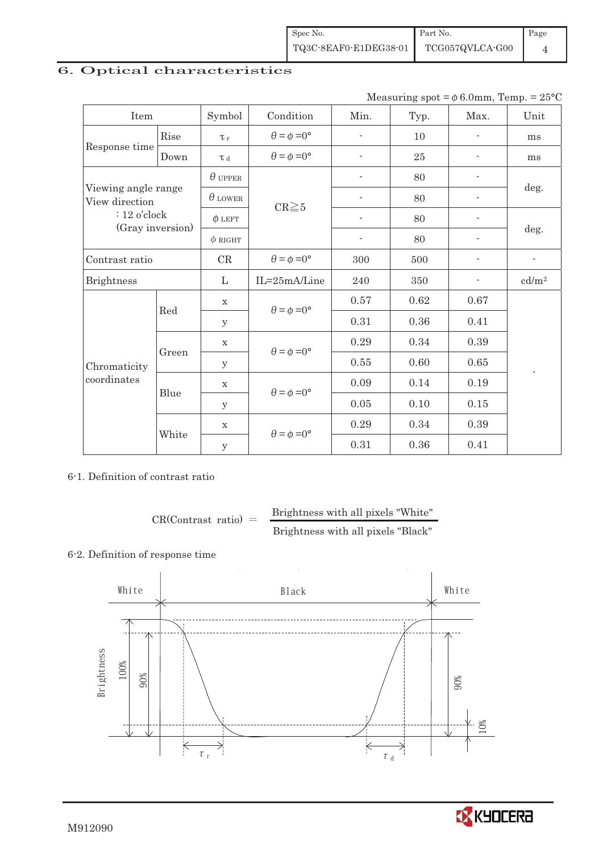| Spec No.              | Part No.        | $\blacksquare$ Page |
|-----------------------|-----------------|---------------------|
| TQ3C-8EAF0-E1DEG38-01 | TCG057QVLCA-G00 |                     |

## 6. Optical characteristics

Measuring spot =  $\phi$  6.0mm, Temp. = 25°C

| Item                                                                        |       | Symbol         | Condition                   | Min.                     | Typ. | Max.                     | Unit                     |
|-----------------------------------------------------------------------------|-------|----------------|-----------------------------|--------------------------|------|--------------------------|--------------------------|
|                                                                             | Rise  | $\tau_r$       | $\theta = \phi = 0^{\circ}$ | $\overline{\phantom{a}}$ | 10   | $\overline{\phantom{a}}$ | ms                       |
| Response time                                                               | Down  | T d            | $\theta = \phi = 0^{\circ}$ | $\overline{a}$           | 25   |                          | ms                       |
| Viewing angle range<br>View direction<br>$: 12$ o'clock<br>(Gray inversion) |       | $\theta$ upper |                             |                          | 80   |                          |                          |
|                                                                             |       | $\theta$ lower | $CR \ge 5$                  |                          | 80   |                          | deg.                     |
|                                                                             |       | $\phi$ LEFT    |                             | $\overline{\phantom{a}}$ | 80   |                          |                          |
|                                                                             |       | $\phi$ RIGHT   |                             | $\overline{\phantom{a}}$ | 80   | $\overline{\phantom{a}}$ | deg.                     |
| Contrast ratio                                                              |       | CR             | $\theta = \phi = 0^{\circ}$ | 300                      | 500  |                          | $\overline{\phantom{a}}$ |
| <b>Brightness</b>                                                           |       |                | IL=25mA/Line                | 240                      | 350  |                          | cd/m <sup>2</sup>        |
|                                                                             | Red   | $\mathbf X$    | $\theta = \phi = 0^{\circ}$ | 0.57                     | 0.62 | 0.67                     |                          |
|                                                                             |       | y              |                             | 0.31                     | 0.36 | 0.41                     |                          |
|                                                                             | Green | $\mathbf X$    |                             | 0.29                     | 0.34 | 0.39                     |                          |
| Chromaticity<br>coordinates                                                 |       | $\mathbf{y}$   | $\theta = \phi = 0^{\circ}$ | 0.55                     | 0.60 | 0.65                     |                          |
|                                                                             |       | $\mathbf X$    | $\theta = \phi = 0^{\circ}$ | 0.09                     | 0.14 | 0.19                     |                          |
|                                                                             | Blue  | у              |                             | $0.05\,$                 | 0.10 | 0.15                     |                          |
|                                                                             |       | $\mathbf X$    | $\theta = \phi = 0^{\circ}$ | 0.29                     | 0.34 | 0.39                     |                          |
|                                                                             | White | $\mathbf{y}$   |                             | 0.31                     | 0.36 | 0.41                     |                          |

#### 6-1. Definition of contrast ratio

$$
CR(Contrast ratio) = \frac{Brightness with all pixels "White" }{Brightness with all pixels "Black" }
$$

### 6-2. Definition of response time



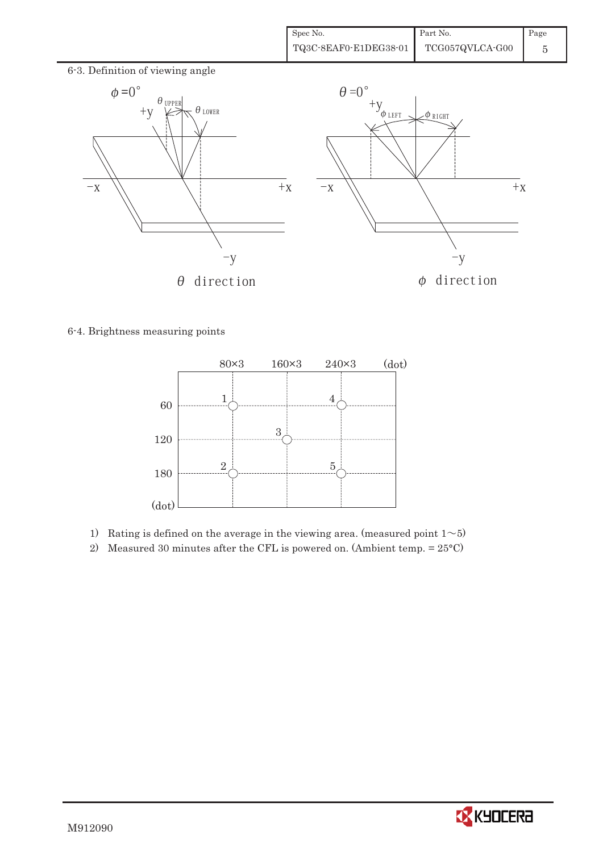

6-4. Brightness measuring points



- 1) Rating is defined on the average in the viewing area. (measured point  $1 \sim 5$ )
- 2) Measured 30 minutes after the CFL is powered on. (Ambient temp. = 25°C)

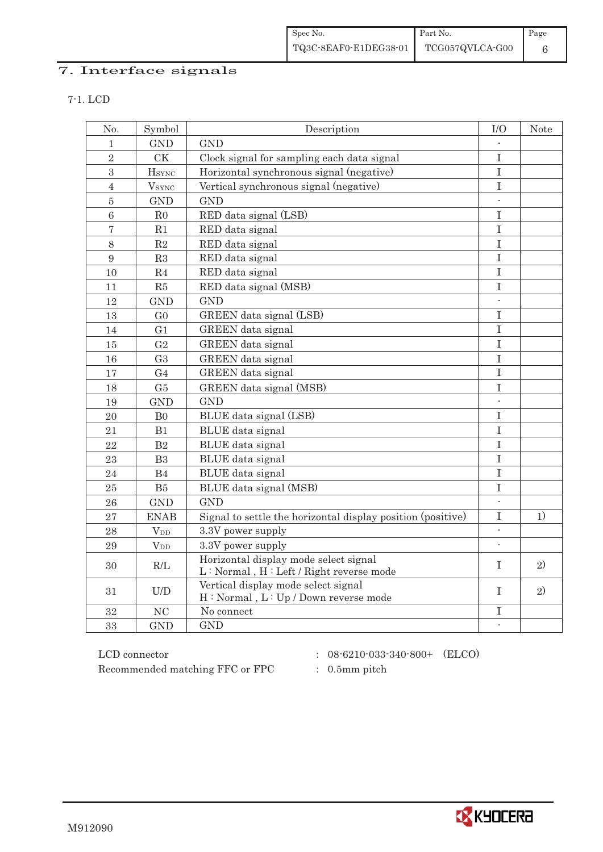| Spec No.              | Part No.        | $\vert$ Page |
|-----------------------|-----------------|--------------|
| TQ3C-8EAF0-E1DEG38-01 | TCG057QVLCA-G00 |              |

### 7. Interface signals

| × |
|---|

| No.             | Symbol                 | Description                                                                      | $\rm I/O$                | <b>Note</b> |
|-----------------|------------------------|----------------------------------------------------------------------------------|--------------------------|-------------|
| 1               | <b>GND</b>             | <b>GND</b>                                                                       |                          |             |
| $\sqrt{2}$      | <b>CK</b>              | Clock signal for sampling each data signal                                       | $\mathbf I$              |             |
| $\overline{3}$  | <b>H</b> sync          | Horizontal synchronous signal (negative)                                         | $\rm I$                  |             |
| $\overline{4}$  | $V_{\rm SYNC}$         | Vertical synchronous signal (negative)                                           | $\rm I$                  |             |
| $\bf 5$         | <b>GND</b>             | <b>GND</b>                                                                       | $\mathcal{L}$            |             |
| $6\phantom{1}6$ | R <sub>0</sub>         | RED data signal (LSB)                                                            | I                        |             |
| $\overline{7}$  | R1                     | RED data signal                                                                  | I                        |             |
| 8               | R2                     | RED data signal                                                                  | I                        |             |
| 9               | R3                     | RED data signal                                                                  | I                        |             |
| 10              | R <sub>4</sub>         | RED data signal                                                                  | $\mathbf I$              |             |
| 11              | R5                     | RED data signal (MSB)                                                            | $\rm I$                  |             |
| 12              | <b>GND</b>             | <b>GND</b>                                                                       | $\overline{\phantom{a}}$ |             |
| 13              | G <sub>0</sub>         | GREEN data signal (LSB)                                                          | $\rm I$                  |             |
| 14              | G <sub>1</sub>         | GREEN data signal                                                                | I                        |             |
| 15              | G <sub>2</sub>         | GREEN data signal                                                                | I                        |             |
| 16              | G <sub>3</sub>         | GREEN data signal                                                                | I                        |             |
| 17              | G <sub>4</sub>         | GREEN data signal                                                                | I                        |             |
| 18              | G5                     | GREEN data signal (MSB)                                                          | $\mathbf I$              |             |
| 19              | <b>GND</b>             | <b>GND</b>                                                                       |                          |             |
| 20              | B <sub>0</sub>         | BLUE data signal (LSB)                                                           | I                        |             |
| 21              | B1                     | BLUE data signal                                                                 | $\mathbf I$              |             |
| 22              | B2                     | BLUE data signal                                                                 | I                        |             |
| 23              | B <sub>3</sub>         | <b>BLUE</b> data signal                                                          | $\mathbf I$              |             |
| 24              | B <sub>4</sub>         | BLUE data signal                                                                 | $\rm I$                  |             |
| 25              | B5                     | BLUE data signal (MSB)                                                           | I                        |             |
| 26              | <b>GND</b>             | GND                                                                              |                          |             |
| 27              | <b>ENAB</b>            | Signal to settle the horizontal display position (positive)                      | $\rm I$                  | 1)          |
| 28              | $V_{DD}$               | 3.3V power supply                                                                | $\mathcal{L}$            |             |
| 29              | <b>V</b> <sub>DD</sub> | 3.3V power supply                                                                |                          |             |
| 30              | R/L                    | Horizontal display mode select signal<br>L: Normal, H: Left / Right reverse mode | I                        | 2)          |
| 31              | U/D                    | Vertical display mode select signal<br>H: Normal, L: Up / Down reverse mode      | T                        | 2)          |
| 32              | NC                     | No connect                                                                       | I                        |             |
| 33              | <b>GND</b>             | <b>GND</b>                                                                       | $\blacksquare$           |             |
|                 |                        |                                                                                  |                          |             |

 ${\rm LCD ~connector} ~~:~~08\text{-}6210\text{-}033\text{-}340\text{-}800+~~({\rm ELCO})$ Recommended matching FFC or FPC : 0.5mm pitch

- 
- 



M912090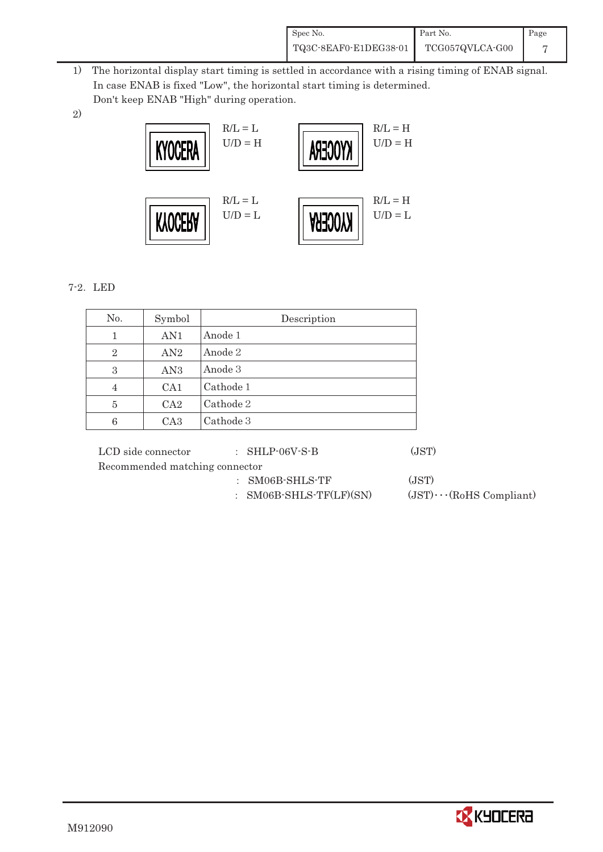| Spec No.              | Part No.        | Page |
|-----------------------|-----------------|------|
| TQ3C-8EAF0-E1DEG38-01 | TCG057QVLCA-G00 |      |

- 1) The horizontal display start timing is settled in accordance with a rising timing of ENAB signal. In case ENAB is fixed "Low", the horizontal start timing is determined. Don't keep ENAB "High" during operation.
- 2)



#### 7-2. LED

| No.            | Symbol          | Description |
|----------------|-----------------|-------------|
| 1              | AN <sub>1</sub> | Anode 1     |
| $\overline{2}$ | AN2             | Anode 2     |
| 3              | AN <sub>3</sub> | Anode 3     |
| 4              | CA1             | Cathode 1   |
| 5              | CA <sub>2</sub> | Cathode 2   |
| 6              | CA <sub>3</sub> | Cathode 3   |

LCD side connector  $\qquad$  : SHLP-06V-S-B (JST) Recommended matching connector

- - ' SM06B-SHLS-TF (JST)

: SM06B-SHLS-TF(LF)(SN)  $(JST)\cdots$ (RoHS Compliant)

**CX** KYOCERA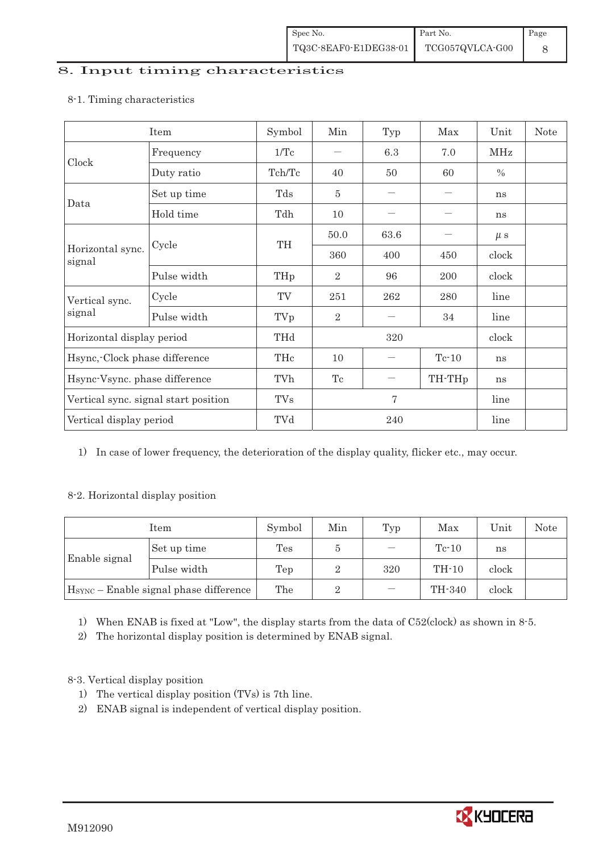#### 8. Input timing characteristics

### Item Symbol Min Typ Max Unit Note Frequency  $1/Tc$   $6.3$   $7.0$  MHz Clock Duty ratio  $\begin{array}{|c|c|c|c|c|c|c|c|c|} \hline \end{array}$  Tch/Tc  $\begin{array}{|c|c|c|c|c|c|c|} \hline \end{array}$  40  $\begin{array}{|c|c|c|c|c|c|} \hline \end{array}$  50  $\begin{array}{|c|c|c|c|c|} \hline \end{array}$  % Set up time Tds 5 , , ns Data Hold time  $\left| \begin{array}{ccc} \text{Tdh} & \text{10} & \text{-} \end{array} \right|$   $-$  ns 50.0 63.6  $-\mu s$ Cycle TH Horizontal sync. Cycle TH 360 400 450 clock signal Pulse width  $THp \mid 2 \mid 96 \mid 200 \mid clock$ Cycle TV 251 262 280 line Vertical sync. signal Pulse width TVp 2 , 34 line Horizontal display period THd 320 clock Hsync,-Clock phase difference  $\vert$  THc  $\vert$  10  $\vert$  - Tc-10  $\vert$  ns Hsync-Vsync. phase difference  $\vert$  TVh  $\vert$  Tc  $\vert$  – TH-THp ns Vertical sync. signal start position TVs 7 7 line Vertical display period  $\overline{Y}$  TVd  $\overline{Z}$  240 line

#### 8-1. Timing characteristics

1) In case of lower frequency, the deterioration of the display quality, flicker etc., may occur.

#### 8-2. Horizontal display position

| Item                                               |             | Symbol | Min | Typ | Max     | Unit  | <b>Note</b> |
|----------------------------------------------------|-------------|--------|-----|-----|---------|-------|-------------|
|                                                    | Set up time | Tes    | G   |     | $Tc-10$ | ns    |             |
| Enable signal                                      | Pulse width | Tep    | ິ   | 320 | $TH-10$ | clock |             |
| H <sub>SYNC</sub> - Enable signal phase difference |             | The    | 2   |     | TH-340  | clock |             |

1) When ENAB is fixed at "Low", the display starts from the data of C52(clock) as shown in 8-5.

2) The horizontal display position is determined by ENAB signal.

8-3. Vertical display position

- 1) The vertical display position (TVs) is 7th line.
- 2) ENAB signal is independent of vertical display position.

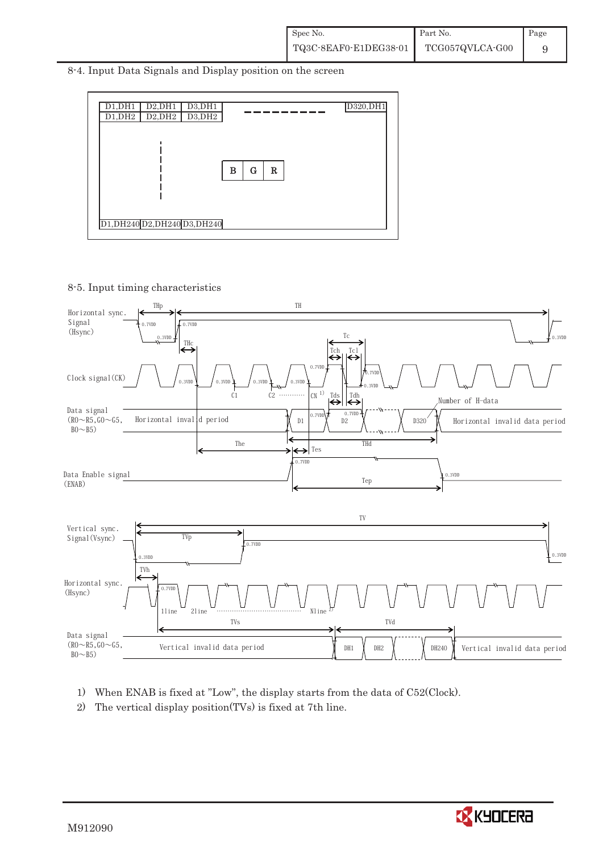8-4. Input Data Signals and Display position on the screen



8-5. Input timing characteristics



- 1) When ENAB is fixed at "Low", the display starts from the data of C52(Clock).
- 2) The vertical display position(TVs) is fixed at 7th line.

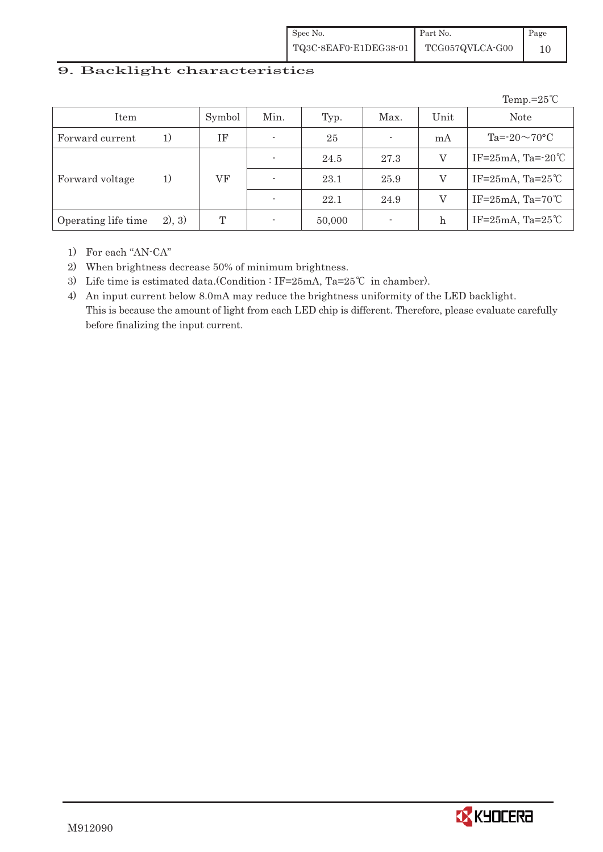| Spec No.              | Part No.        | Page |
|-----------------------|-----------------|------|
| TQ3C-8EAF0-E1DEG38-01 | TCG057QVLCA-G00 |      |

#### 9. Backlight characteristics

|                     |        |        |      |        |                          |         | Temp.= $25^{\circ}C$     |
|---------------------|--------|--------|------|--------|--------------------------|---------|--------------------------|
| Item                |        | Symbol | Min. | Typ.   | Max.                     | Unit    | <b>Note</b>              |
| Forward current     | 1)     | ΙF     |      | 25     | $\overline{\phantom{a}}$ | mA      | $Ta = 20 \sim 70$ °C     |
|                     |        |        |      | 24.5   | 27.3                     | V       | IF= $25mA$ , Ta= $-20°C$ |
| Forward voltage     | 1)     | VF     |      | 23.1   | 25.9                     | V       | IF=25mA, Ta=25 $°C$      |
|                     |        |        |      | 22.1   | 24.9                     | V       | IF=25mA, Ta=70 $°C$      |
| Operating life time | 2), 3) | T      |      | 50,000 | $\overline{\phantom{a}}$ | $\hbar$ | IF=25mA, Ta=25 $°C$      |

1) For each "AN-CA"

2) When brightness decrease 50% of minimum brightness.

- 3) Life time is estimated data.(Condition : IF=25mA, Ta=25℃ in chamber).
- 4) An input current below 8.0mA may reduce the brightness uniformity of the LED backlight. This is because the amount of light from each LED chip is different. Therefore, please evaluate carefully before finalizing the input current.

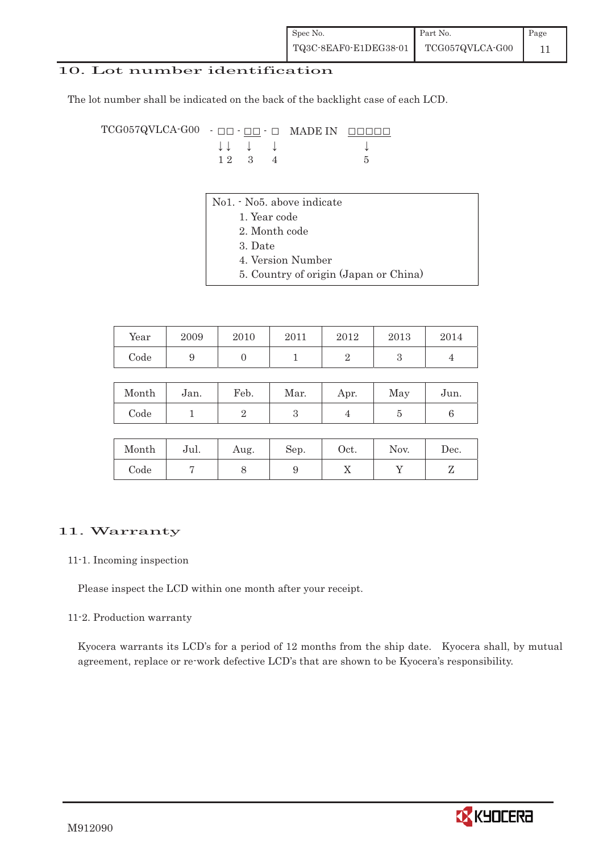| Spec No.              | Part No.        | Page |
|-----------------------|-----------------|------|
| TQ3C-8EAF0-E1DEG38-01 | TCG057QVLCA-G00 |      |

#### 10. Lot number identification

The lot number shall be indicated on the back of the backlight case of each LCD.

TCG057QVLCA-G00 - ## - ## - # MADE IN #####  $\downarrow \downarrow \quad \downarrow \qquad \qquad \downarrow$  $1 \ 2 \ 3 \ 4$  5

- No1. No5. above indicate
	- 1. Year code
	- 2. Month code
	- 3. Date
	- 4. Version Number
	- 5. Country of origin (Japan or China)

| Year | 2009 | 2010 | 2011 | 2012 | 2013 | 2014 |
|------|------|------|------|------|------|------|
| Code |      |      |      |      | ບ    |      |

| Month | Jan. | Feb. | Mar. | Apr. | May | Jun. |
|-------|------|------|------|------|-----|------|
| Code  |      |      |      |      |     |      |

| Month | Jul. | Aug. | Sep. | Oct. | Nov. | Dec. |
|-------|------|------|------|------|------|------|
| Code  |      | ◡    |      | ∡⊾   |      |      |

#### 11. Warranty

#### 11-1. Incoming inspection

Please inspect the LCD within one month after your receipt.

#### 11-2. Production warranty

 Kyocera warrants its LCD's for a period of 12 months from the ship date. Kyocera shall, by mutual agreement, replace or re-work defective LCD's that are shown to be Kyocera's responsibility.

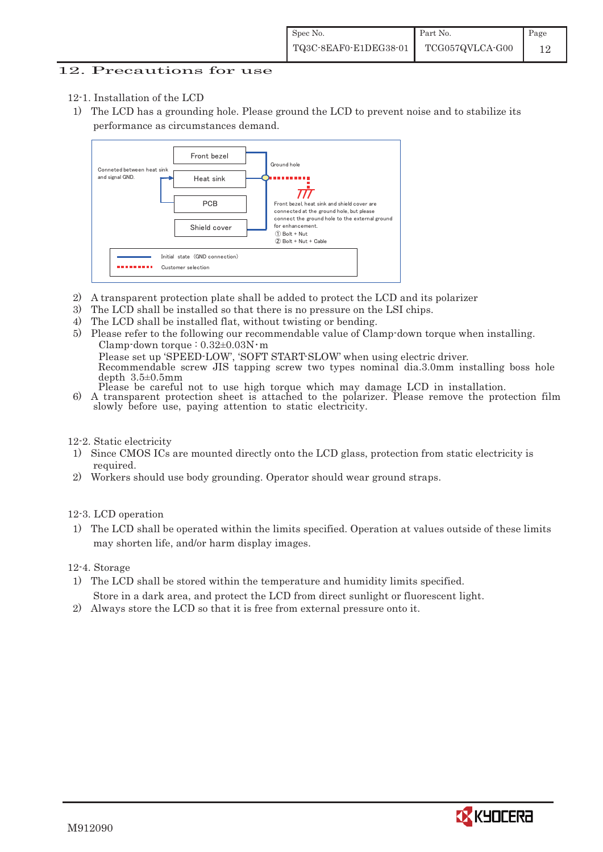#### 12. Precautions for use

- 12-1. Installation of the LCD
- 1) The LCD has a grounding hole. Please ground the LCD to prevent noise and to stabilize its performance as circumstances demand.



- 2) A transparent protection plate shall be added to protect the LCD and its polarizer
- 3) The LCD shall be installed so that there is no pressure on the LSI chips.
- 4) The LCD shall be installed flat, without twisting or bending.
- 5) Please refer to the following our recommendable value of Clamp-down torque when installing. Clamp-down torque :  $0.32 \pm 0.03$ N·m Please set up 'SPEED-LOW', 'SOFT START-SLOW' when using electric driver. Recommendable screw JIS tapping screw two types nominal dia.3.0mm installing boss hole depth 3.5±0.5mm<br>Please be careful not to use high torque which may damage LCD in installation.
- 6) A transparent protection sheet is attached to the polarizer. Please remove the protection film slowly before use, paying attention to static electricity.

12-2. Static electricity

- 1) Since CMOS ICs are mounted directly onto the LCD glass, protection from static electricity is required.
- 2) Workers should use body grounding. Operator should wear ground straps.

12-3. LCD operation

1) The LCD shall be operated within the limits specified. Operation at values outside of these limits may shorten life, and/or harm display images.

12-4. Storage

- 1) The LCD shall be stored within the temperature and humidity limits specified. Store in a dark area, and protect the LCD from direct sunlight or fluorescent light.
- 2) Always store the LCD so that it is free from external pressure onto it.

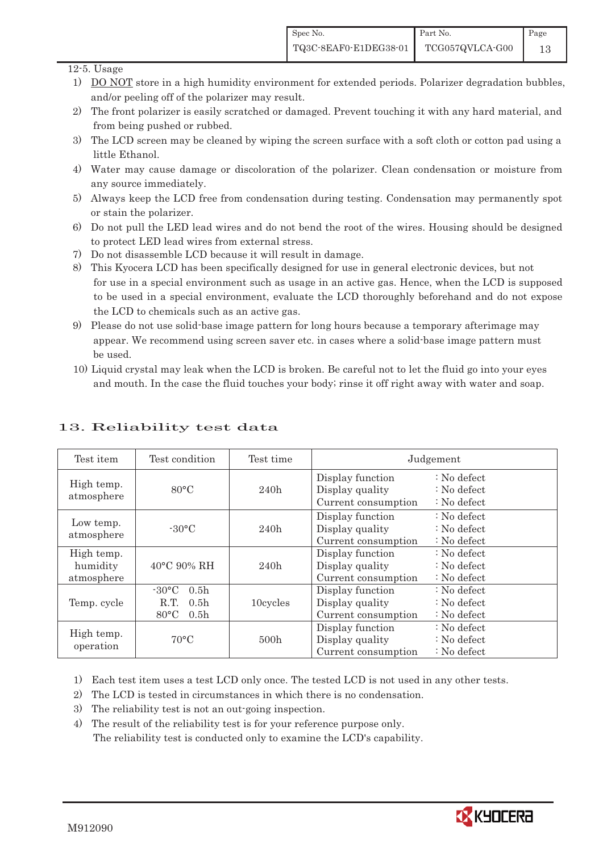#### 12-5. Usage

- 1) DO NOT store in a high humidity environment for extended periods. Polarizer degradation bubbles, and/or peeling off of the polarizer may result.
- 2) The front polarizer is easily scratched or damaged. Prevent touching it with any hard material, and from being pushed or rubbed.
- 3) The LCD screen may be cleaned by wiping the screen surface with a soft cloth or cotton pad using a little Ethanol.
- 4) Water may cause damage or discoloration of the polarizer. Clean condensation or moisture from any source immediately.
- 5) Always keep the LCD free from condensation during testing. Condensation may permanently spot or stain the polarizer.
- 6) Do not pull the LED lead wires and do not bend the root of the wires. Housing should be designed to protect LED lead wires from external stress.
- 7) Do not disassemble LCD because it will result in damage.
- 8) This Kyocera LCD has been specifically designed for use in general electronic devices, but not for use in a special environment such as usage in an active gas. Hence, when the LCD is supposed to be used in a special environment, evaluate the LCD thoroughly beforehand and do not expose the LCD to chemicals such as an active gas.
- 9) Please do not use solid-base image pattern for long hours because a temporary afterimage may appear. We recommend using screen saver etc. in cases where a solid-base image pattern must be used.
- 10) Liquid crystal may leak when the LCD is broken. Be careful not to let the fluid go into your eyes and mouth. In the case the fluid touches your body; rinse it off right away with water and soap.

| Test item                            | Test condition                                                                                        | Test time        | Judgement                                                  |                                                 |
|--------------------------------------|-------------------------------------------------------------------------------------------------------|------------------|------------------------------------------------------------|-------------------------------------------------|
| High temp.<br>atmosphere             | $80^{\circ}$ C                                                                                        | 240h             | Display function<br>Display quality<br>Current consumption | $: No$ defect<br>$: No$ defect<br>$: No$ defect |
| Low temp.<br>atmosphere              | $-30^{\circ}$ C                                                                                       | 240h             | Display function<br>Display quality<br>Current consumption | $: No$ defect<br>$: No$ defect<br>$: No$ defect |
| High temp.<br>humidity<br>atmosphere | $40^{\circ}$ C 90% RH                                                                                 | 240h             | Display function<br>Display quality<br>Current consumption | : No defect<br>$: No$ defect<br>$: No$ defect   |
| Temp. cycle                          | $-30^{\circ}$ C<br>0.5 <sub>h</sub><br>0.5 <sub>h</sub><br>R.T.<br>$80^{\circ}$ C<br>0.5 <sub>h</sub> | 10cycles         | Display function<br>Display quality<br>Current consumption | $: No$ defect<br>$: No$ defect<br>$: No$ defect |
| High temp.<br>operation              | $70^{\circ}$ C                                                                                        | 500 <sub>h</sub> | Display function<br>Display quality<br>Current consumption | : No defect<br>$: No$ defect<br>$: No$ defect   |

### 13. Reliability test data

1) Each test item uses a test LCD only once. The tested LCD is not used in any other tests.

- 2) The LCD is tested in circumstances in which there is no condensation.
- 3) The reliability test is not an out-going inspection.

4) The result of the reliability test is for your reference purpose only. The reliability test is conducted only to examine the LCD's capability.

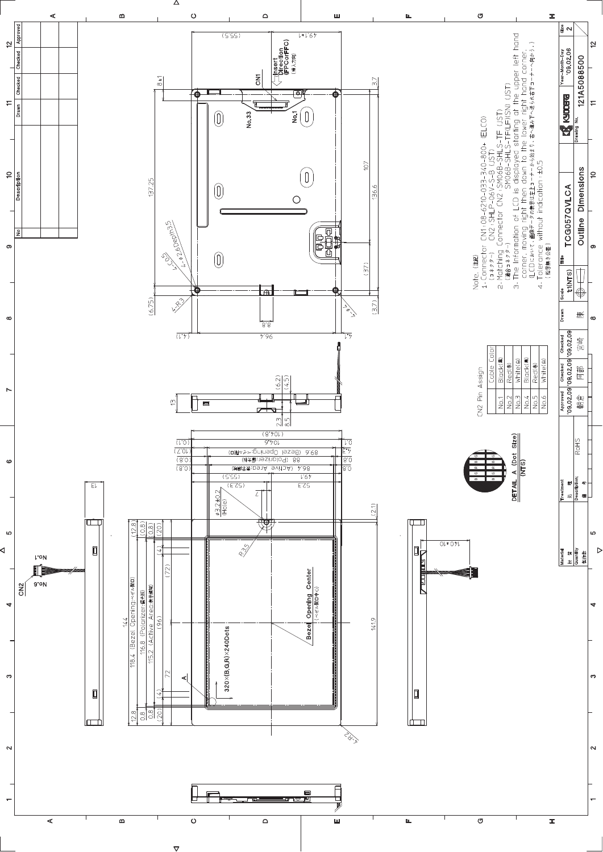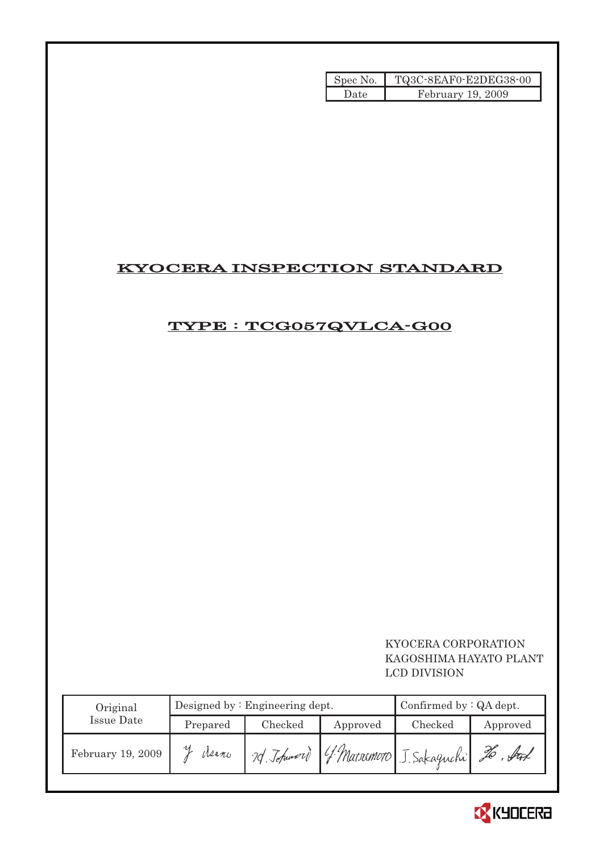| Spec No. | TQ3C-8EAF0-E2DEG38-00 |
|----------|-----------------------|
| Date     | February 19, 2009     |

### KYOCERA INSPECTION STANDARD

### TYPE : TCG057QVLCA-G00

### KYOCERA CORPORATION KAGOSHIMA HAYATO PLANT LCD DIVISION

| Original          | Designed by $:$ Engineering dept. |         |          | Confirmed by $:QA$ dept.                     |          |  |
|-------------------|-----------------------------------|---------|----------|----------------------------------------------|----------|--|
| Issue Date        | Prepared                          | Checked | Approved | Checked                                      | Approved |  |
| February 19, 2009 | Asano                             |         |          | 70 Johnson G. Marrimoto J. Sakaguchi 26. Fut |          |  |

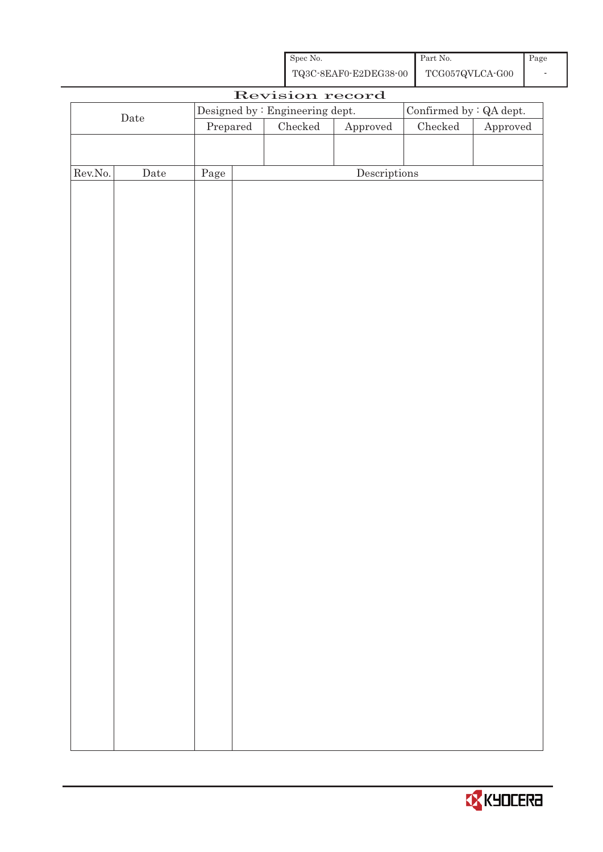| Spec No.              | Part No.        | Page |
|-----------------------|-----------------|------|
| TQ3C-8EAF0-E2DEG38-00 | TCG057QVLCA-G00 |      |

|         |             |          | Revision record                 |                                      |                                          |                        |
|---------|-------------|----------|---------------------------------|--------------------------------------|------------------------------------------|------------------------|
|         |             |          | Designed by : Engineering dept. |                                      | Confirmed by : $\operatorname{QA}$ dept. |                        |
|         | $\rm{Date}$ | Prepared | $\rm Checked$                   | Approved                             | $\rm Checked$                            | ${\Large\bf Approved}$ |
|         |             |          |                                 |                                      |                                          |                        |
|         |             |          |                                 |                                      |                                          |                        |
| Rev.No. | Date        | Page     |                                 | $\label{eq:2} \textbf{Descriptions}$ |                                          |                        |
|         |             |          |                                 |                                      |                                          |                        |
|         |             |          |                                 |                                      |                                          |                        |
|         |             |          |                                 |                                      |                                          |                        |
|         |             |          |                                 |                                      |                                          |                        |
|         |             |          |                                 |                                      |                                          |                        |
|         |             |          |                                 |                                      |                                          |                        |
|         |             |          |                                 |                                      |                                          |                        |
|         |             |          |                                 |                                      |                                          |                        |
|         |             |          |                                 |                                      |                                          |                        |
|         |             |          |                                 |                                      |                                          |                        |
|         |             |          |                                 |                                      |                                          |                        |
|         |             |          |                                 |                                      |                                          |                        |
|         |             |          |                                 |                                      |                                          |                        |
|         |             |          |                                 |                                      |                                          |                        |
|         |             |          |                                 |                                      |                                          |                        |
|         |             |          |                                 |                                      |                                          |                        |
|         |             |          |                                 |                                      |                                          |                        |
|         |             |          |                                 |                                      |                                          |                        |
|         |             |          |                                 |                                      |                                          |                        |
|         |             |          |                                 |                                      |                                          |                        |
|         |             |          |                                 |                                      |                                          |                        |
|         |             |          |                                 |                                      |                                          |                        |
|         |             |          |                                 |                                      |                                          |                        |
|         |             |          |                                 |                                      |                                          |                        |
|         |             |          |                                 |                                      |                                          |                        |
|         |             |          |                                 |                                      |                                          |                        |
|         |             |          |                                 |                                      |                                          |                        |
|         |             |          |                                 |                                      |                                          |                        |
|         |             |          |                                 |                                      |                                          |                        |
|         |             |          |                                 |                                      |                                          |                        |
|         |             |          |                                 |                                      |                                          |                        |
|         |             |          |                                 |                                      |                                          |                        |
|         |             |          |                                 |                                      |                                          |                        |
|         |             |          |                                 |                                      |                                          |                        |
|         |             |          |                                 |                                      |                                          |                        |
|         |             |          |                                 |                                      |                                          |                        |

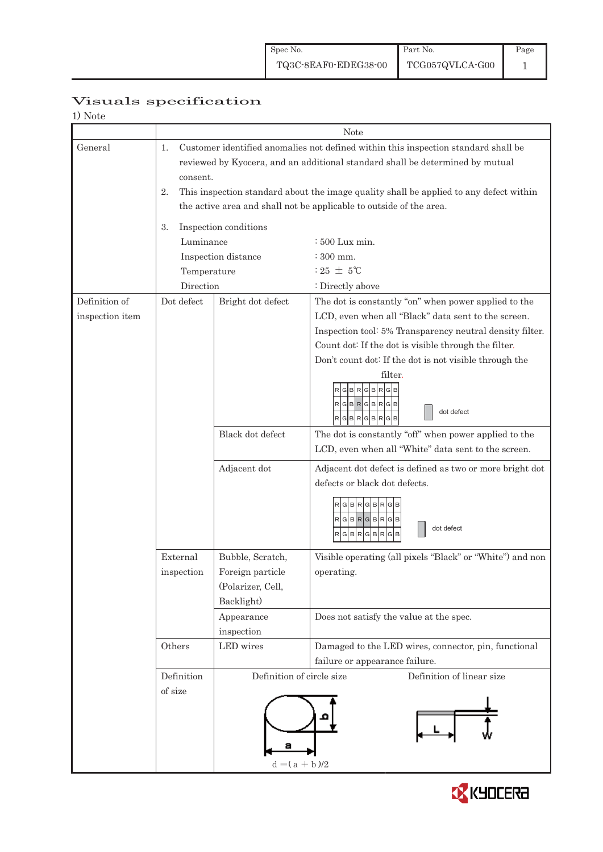# Visuals specification

| 1) Note         |                 |                           |                                                                                        |  |  |  |
|-----------------|-----------------|---------------------------|----------------------------------------------------------------------------------------|--|--|--|
|                 |                 | <b>Note</b>               |                                                                                        |  |  |  |
| General         | 1.              |                           | Customer identified anomalies not defined within this inspection standard shall be     |  |  |  |
|                 |                 |                           | reviewed by Kyocera, and an additional standard shall be determined by mutual          |  |  |  |
|                 | consent.        |                           |                                                                                        |  |  |  |
|                 | 2.              |                           | This inspection standard about the image quality shall be applied to any defect within |  |  |  |
|                 |                 |                           | the active area and shall not be applicable to outside of the area.                    |  |  |  |
|                 |                 |                           |                                                                                        |  |  |  |
|                 | 3.<br>Luminance | Inspection conditions     |                                                                                        |  |  |  |
|                 |                 |                           | : 500 Lux min.<br>$: 300$ mm.                                                          |  |  |  |
|                 |                 | Inspection distance       | $:25 \pm 5^{\circ}$ C                                                                  |  |  |  |
|                 | Temperature     |                           |                                                                                        |  |  |  |
|                 | Direction       |                           | : Directly above                                                                       |  |  |  |
| Definition of   | Dot defect      | Bright dot defect         | The dot is constantly "on" when power applied to the                                   |  |  |  |
| inspection item |                 |                           | LCD, even when all "Black" data sent to the screen.                                    |  |  |  |
|                 |                 |                           | Inspection tool: 5% Transparency neutral density filter.                               |  |  |  |
|                 |                 |                           | Count dot: If the dot is visible through the filter.                                   |  |  |  |
|                 |                 |                           | Don't count dot: If the dot is not visible through the                                 |  |  |  |
|                 |                 |                           | filter.                                                                                |  |  |  |
|                 |                 |                           | BRGBRG                                                                                 |  |  |  |
|                 |                 |                           | R G B R G B R G B<br>dot defect                                                        |  |  |  |
|                 |                 |                           | R G B R G B R G B                                                                      |  |  |  |
|                 |                 | Black dot defect          | The dot is constantly "off" when power applied to the                                  |  |  |  |
|                 |                 |                           | LCD, even when all "White" data sent to the screen.                                    |  |  |  |
|                 |                 | Adjacent dot              | Adjacent dot defect is defined as two or more bright dot                               |  |  |  |
|                 |                 |                           | defects or black dot defects.                                                          |  |  |  |
|                 |                 |                           | R G B R G                                                                              |  |  |  |
|                 |                 |                           | RGBRGBRGB                                                                              |  |  |  |
|                 |                 |                           | dot defect<br>$\mathsf{R}$<br>G B<br>R<br>R<br>G<br>B<br>G                             |  |  |  |
|                 |                 |                           |                                                                                        |  |  |  |
|                 | External        | Bubble, Scratch,          | Visible operating (all pixels "Black" or "White") and non                              |  |  |  |
|                 | inspection      | Foreign particle          | operating.                                                                             |  |  |  |
|                 |                 | (Polarizer, Cell,         |                                                                                        |  |  |  |
|                 |                 | Backlight)                |                                                                                        |  |  |  |
|                 |                 | Appearance                | Does not satisfy the value at the spec.                                                |  |  |  |
|                 |                 | inspection                |                                                                                        |  |  |  |
|                 | Others          | LED wires                 | Damaged to the LED wires, connector, pin, functional                                   |  |  |  |
|                 |                 |                           | failure or appearance failure.                                                         |  |  |  |
|                 | Definition      | Definition of circle size | Definition of linear size                                                              |  |  |  |
|                 | of size         |                           |                                                                                        |  |  |  |
|                 |                 |                           |                                                                                        |  |  |  |
|                 |                 |                           |                                                                                        |  |  |  |
|                 |                 |                           |                                                                                        |  |  |  |
|                 |                 | а                         |                                                                                        |  |  |  |
|                 |                 | $d = (a + b)/2$           |                                                                                        |  |  |  |